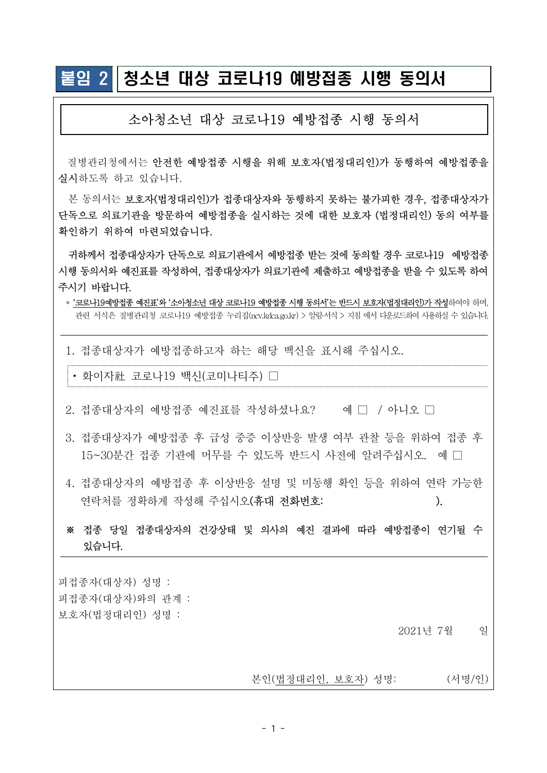## 붙임 2 청소년 대상 코로나19 예방접종 시행 동의서

## 소아청소년 대상 코로나19 예방접종 시행 동의서

질병관리청에서는 안전한 예방접종 시행을 위해 보호자(법정대리인)가 동행하여 예방접종을 실시하도록 하고 있습니다.

본 동의서는 보호자(법정대리인)가 접종대상자와 동행하지 못하는 불가피한 경우, 접종대상자가 단독으로 의료기관을 방문하여 예방접종을 실시하는 것에 대한 보호자 (법정대리인) 동의 여부를 확인하기 위하여 마련되었습니다. 실시하도록 하고 있습니다.<br>- 본 동의서는 보호자(법정대리인)가 접종대상자와 동행하지 못하는 불가피한 경우, 접종대상자가<br>단독으로 의료기관을 방문하여 예방접종을 실시하는 것에 대한 보호자 (법정대리인) 동의 여부를<br>확인하기 위하여 마련되었습니다.<br>시행 동의서와 예진표를 작성하여, 접종대상자가 의료기관에 제출하고 예방접종을 받을 수 있도록 하여<br>주시기 바랍니다.<br>주시기 바랍니다.<br>\* '코로나19

 귀하께서 접종대상자가 단독으로 의료기관에서 예방접종 받는 것에 동의할 경우 코로나19 예방접종 시행 동의서와 예진표를 작성하여, 접종대상자가 의료기관에 제출하고 예방접종을 받을 수 있도록 하여 주시기 바랍니다.

1. 접종대상자가 예방접종하고자 하는 해당 백신을 표시해 주십시오.

• 화이자社 코로나19 백신 (코미나티주) □

- $2.$  접종대상자의 예방접종 예진표를 작성하셨나요? 이 예 □ / 아니오 □
- 3. 접종대상자가 예방접종 후 급성 중증 이상반응 발생 여부 관찰 등을 위하여 접종 후 15~30분간 접종 기관에 머무를 수 있도록 반드시 사전에 알려주십시오. 예□
- 4. 접종대상자의 예방접종 후 이상반응 설명 및 미동행 확인 등을 위하여 연락 가능한 연락처를 정확하게 작성해 주십시오(휴대 전화번호: ٢٠٠٠).
- ※ 접종 당일 접종대상자의 건강상태 및 의사의 예진 결과에 따라 예방접종이 연기될 수 있습니다.

피접종자 (대상자) 성명 : 피접종자 (대상자)와의 관계 : 보호자 (법정대리인) 성명 : 2021년 7월 일

본인 (법정대리인, 보호자) 성명: (서명/인)